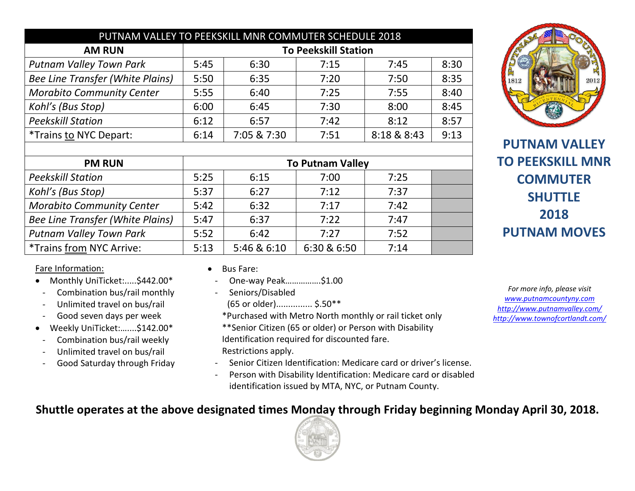| PUTNAM VALLEY TO PEEKSKILL MNR COMMUTER SCHEDULE 2018 |             |      |             |      |  |  |  |  |
|-------------------------------------------------------|-------------|------|-------------|------|--|--|--|--|
| <b>To Peekskill Station</b>                           |             |      |             |      |  |  |  |  |
| 5:45                                                  | 6:30        | 7:15 | 7:45        | 8:30 |  |  |  |  |
| 5:50                                                  | 6:35        | 7:20 | 7:50        | 8:35 |  |  |  |  |
| 5:55                                                  | 6:40        | 7:25 | 7:55        | 8:40 |  |  |  |  |
| 6:00                                                  | 6:45        | 7:30 | 8:00        | 8:45 |  |  |  |  |
| 6:12                                                  | 6:57        | 7:42 | 8:12        | 8:57 |  |  |  |  |
| 6:14                                                  | 7:05 & 7:30 | 7:51 | 8:18 & 8:43 | 9:13 |  |  |  |  |
|                                                       |             |      |             |      |  |  |  |  |

| <b>PM RUN</b>                    | <b>To Putnam Valley</b> |             |             |      |  |  |
|----------------------------------|-------------------------|-------------|-------------|------|--|--|
| <b>Peekskill Station</b>         | 5:25                    | 6:15        | 7:00        | 7:25 |  |  |
| Kohl's (Bus Stop)                | 5:37                    | 6:27        | 7:12        | 7:37 |  |  |
| <b>Morabito Community Center</b> | 5:42                    | 6:32        | 7:17        | 7:42 |  |  |
| Bee Line Transfer (White Plains) | 5:47                    | 6:37        | 7:22        | 7:47 |  |  |
| <b>Putnam Valley Town Park</b>   | 5:52                    | 6:42        | 7:27        | 7:52 |  |  |
| <i>*Trains from NYC Arrive:</i>  | 5:13                    | 5:46 & 6:10 | 6:30 & 6:50 | 7:14 |  |  |

Fare Information:

- Monthly UniTicket:.....\$442.00\*
	- Combination bus/rail monthly
	- Unlimited travel on bus/rail
	- Good seven days per week
- Weekly UniTicket:…....\$142.00\*
- Combination bus/rail weekly
- Unlimited travel on bus/rail
- Good Saturday through Friday
- Bus Fare:
- One-way Peak…………….\$1.00
- Seniors/Disabled
- (65 or older)............... \$.50\*\*
- \*Purchased with Metro North monthly or rail ticket only
- \*\*Senior Citizen (65 or older) or Person with Disability Identification required for discounted fare. Restrictions apply.
- Senior Citizen Identification: Medicare card or driver's license.
- Person with Disability Identification: Medicare card or disabled identification issued by MTA, NYC, or Putnam County.

*For more info, please visit [www.putnamcountyny.com](http://www.putnamcountyny.com/) <http://www.putnamvalley.com/> <http://www.townofcortlandt.com/>*

**Shuttle operates at the above designated times Monday through Friday beginning Monday April 30, 2018.**





**PUTNAM VALLEY**

**TO PEEKSKILL MNR**

**COMMUTER SHUTTLE 2018 PUTNAM MOVES**